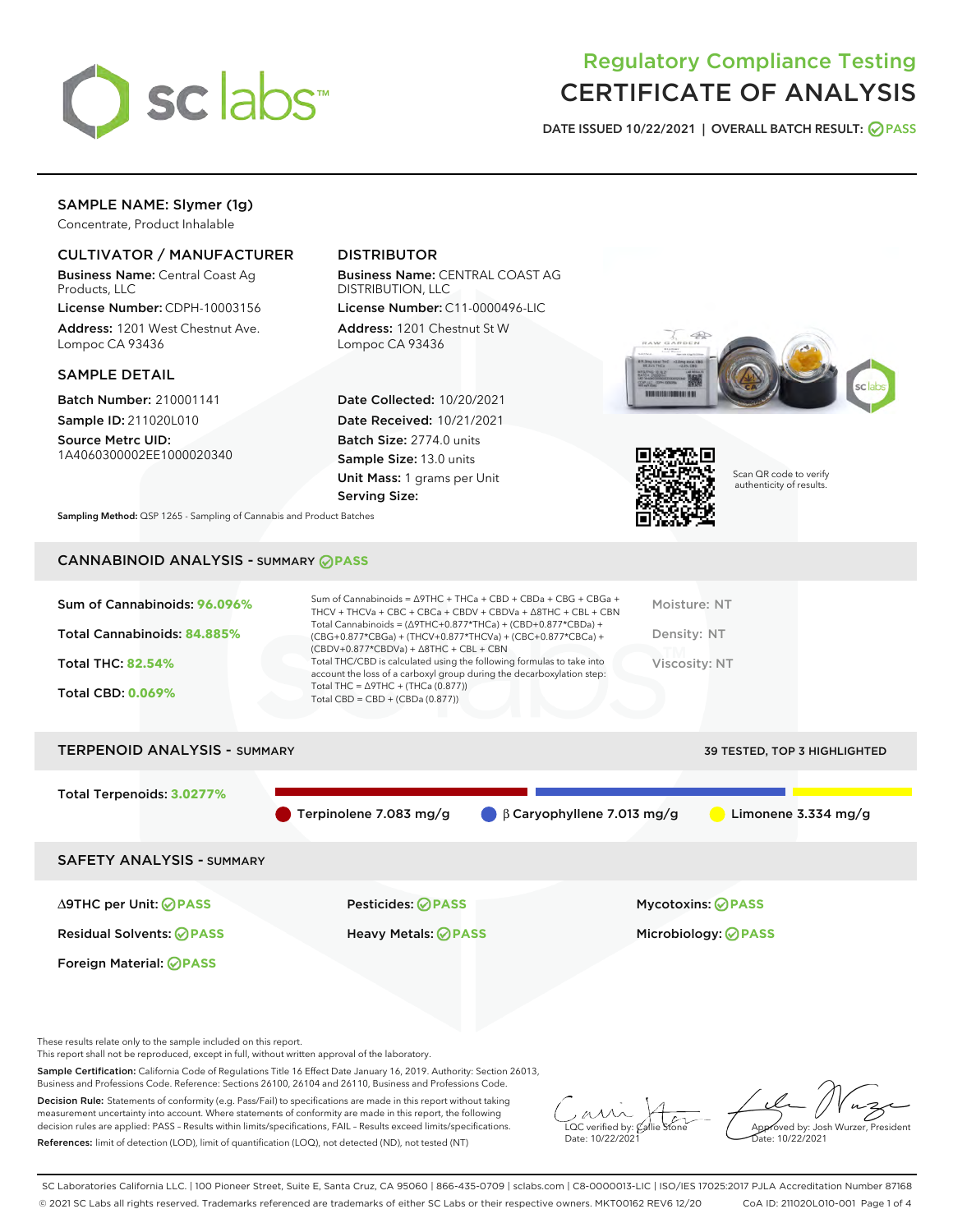

# Regulatory Compliance Testing CERTIFICATE OF ANALYSIS

DATE ISSUED 10/22/2021 | OVERALL BATCH RESULT: @ PASS

## SAMPLE NAME: Slymer (1g)

Concentrate, Product Inhalable

## CULTIVATOR / MANUFACTURER

Business Name: Central Coast Ag Products, LLC

License Number: CDPH-10003156 Address: 1201 West Chestnut Ave. Lompoc CA 93436

#### SAMPLE DETAIL

Batch Number: 210001141 Sample ID: 211020L010

Source Metrc UID: 1A4060300002EE1000020340

## DISTRIBUTOR

Business Name: CENTRAL COAST AG DISTRIBUTION, LLC License Number: C11-0000496-LIC

Address: 1201 Chestnut St W Lompoc CA 93436

Date Collected: 10/20/2021 Date Received: 10/21/2021 Batch Size: 2774.0 units Sample Size: 13.0 units Unit Mass: 1 grams per Unit Serving Size:





Scan QR code to verify authenticity of results.

Sampling Method: QSP 1265 - Sampling of Cannabis and Product Batches

## CANNABINOID ANALYSIS - SUMMARY **PASS**



| <b>TERPENOID ANALYSIS - SUMMARY</b> |                        |                                  | 39 TESTED, TOP 3 HIGHLIGHTED |
|-------------------------------------|------------------------|----------------------------------|------------------------------|
| Total Terpenoids: 3.0277%           |                        |                                  |                              |
|                                     | Terpinolene 7.083 mg/g | $\beta$ Caryophyllene 7.013 mg/g | Limonene $3.334$ mg/g        |
| <b>SAFETY ANALYSIS - SUMMARY</b>    |                        |                                  |                              |
|                                     |                        |                                  |                              |

Foreign Material: **PASS**

Residual Solvents: **PASS** Heavy Metals: **PASS** Microbiology: **PASS**

∆9THC per Unit: **PASS** Pesticides: **PASS** Mycotoxins: **PASS**

These results relate only to the sample included on this report.

This report shall not be reproduced, except in full, without written approval of the laboratory.

Sample Certification: California Code of Regulations Title 16 Effect Date January 16, 2019. Authority: Section 26013, Business and Professions Code. Reference: Sections 26100, 26104 and 26110, Business and Professions Code.

Decision Rule: Statements of conformity (e.g. Pass/Fail) to specifications are made in this report without taking measurement uncertainty into account. Where statements of conformity are made in this report, the following decision rules are applied: PASS – Results within limits/specifications, FAIL – Results exceed limits/specifications. References: limit of detection (LOD), limit of quantification (LOQ), not detected (ND), not tested (NT)

 $\overline{\text{LOC}}$  verified by:  $\mathcal C$ Date: 10/22/2021

Approved by: Josh Wurzer, President ate: 10/22/2021

SC Laboratories California LLC. | 100 Pioneer Street, Suite E, Santa Cruz, CA 95060 | 866-435-0709 | sclabs.com | C8-0000013-LIC | ISO/IES 17025:2017 PJLA Accreditation Number 87168 © 2021 SC Labs all rights reserved. Trademarks referenced are trademarks of either SC Labs or their respective owners. MKT00162 REV6 12/20 CoA ID: 211020L010-001 Page 1 of 4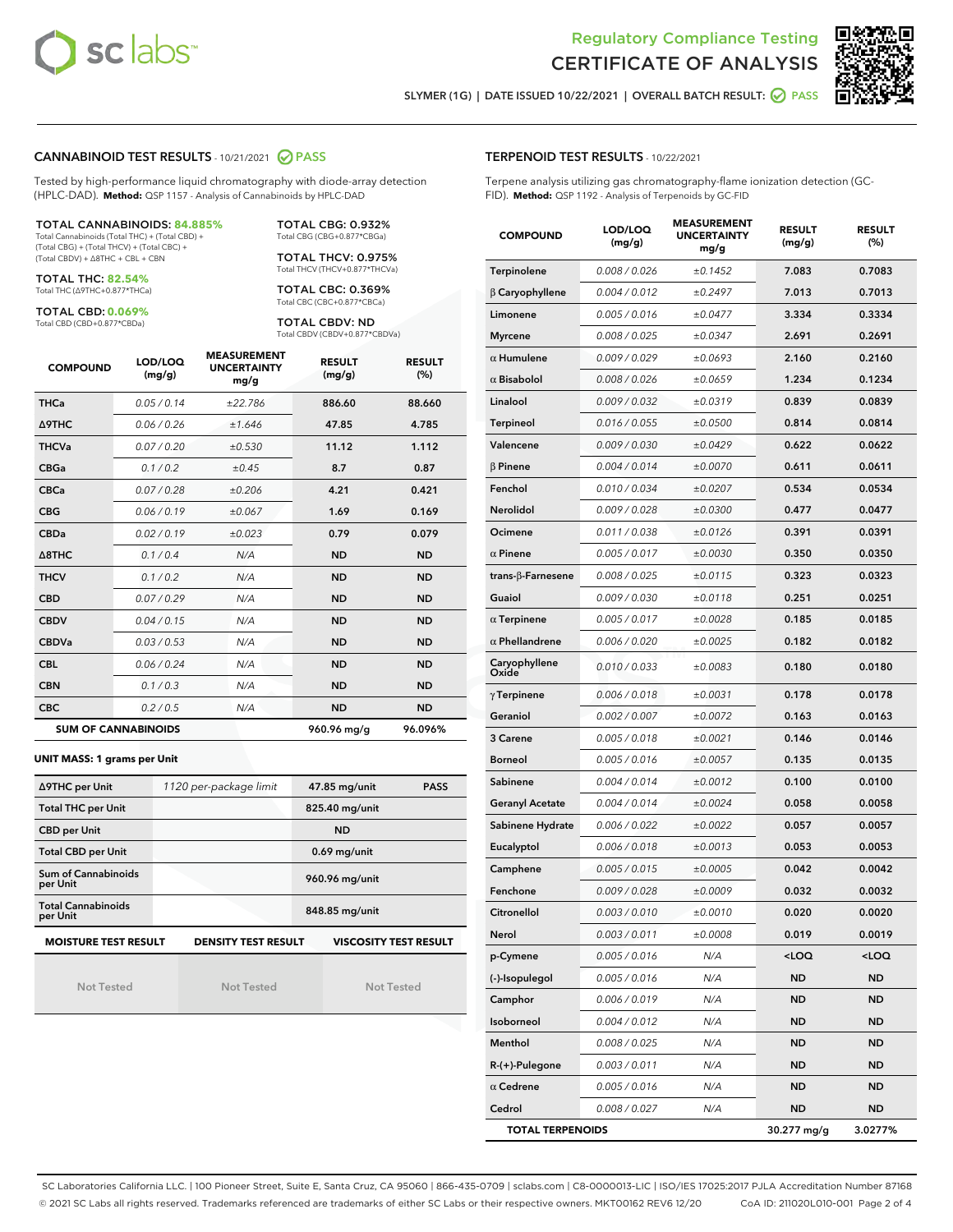



SLYMER (1G) | DATE ISSUED 10/22/2021 | OVERALL BATCH RESULT: 2 PASS

#### CANNABINOID TEST RESULTS - 10/21/2021 2 PASS

Tested by high-performance liquid chromatography with diode-array detection (HPLC-DAD). **Method:** QSP 1157 - Analysis of Cannabinoids by HPLC-DAD

#### TOTAL CANNABINOIDS: **84.885%**

Total Cannabinoids (Total THC) + (Total CBD) + (Total CBG) + (Total THCV) + (Total CBC) + (Total CBDV) + ∆8THC + CBL + CBN

TOTAL THC: **82.54%** Total THC (∆9THC+0.877\*THCa)

TOTAL CBD: **0.069%**

Total CBD (CBD+0.877\*CBDa)

TOTAL CBG: 0.932% Total CBG (CBG+0.877\*CBGa)

TOTAL THCV: 0.975% Total THCV (THCV+0.877\*THCVa)

TOTAL CBC: 0.369% Total CBC (CBC+0.877\*CBCa)

TOTAL CBDV: ND Total CBDV (CBDV+0.877\*CBDVa)

| <b>COMPOUND</b>  | LOD/LOQ<br>(mg/g)          | <b>MEASUREMENT</b><br><b>UNCERTAINTY</b><br>mg/g | <b>RESULT</b><br>(mg/g) | <b>RESULT</b><br>(%) |
|------------------|----------------------------|--------------------------------------------------|-------------------------|----------------------|
| <b>THCa</b>      | 0.05 / 0.14                | ±22.786                                          | 886.60                  | 88.660               |
| <b>A9THC</b>     | 0.06 / 0.26                | ±1.646                                           | 47.85                   | 4.785                |
| <b>THCVa</b>     | 0.07 / 0.20                | ±0.530                                           | 11.12                   | 1.112                |
| <b>CBGa</b>      | 0.1/0.2                    | $\pm 0.45$                                       | 8.7                     | 0.87                 |
| <b>CBCa</b>      | 0.07 / 0.28                | ±0.206                                           | 4.21                    | 0.421                |
| <b>CBG</b>       | 0.06/0.19                  | ±0.067                                           | 1.69                    | 0.169                |
| <b>CBDa</b>      | 0.02/0.19                  | ±0.023                                           | 0.79                    | 0.079                |
| $\triangle$ 8THC | 0.1/0.4                    | N/A                                              | <b>ND</b>               | <b>ND</b>            |
| <b>THCV</b>      | 0.1 / 0.2                  | N/A                                              | <b>ND</b>               | <b>ND</b>            |
| <b>CBD</b>       | 0.07/0.29                  | N/A                                              | <b>ND</b>               | <b>ND</b>            |
| <b>CBDV</b>      | 0.04 / 0.15                | N/A                                              | <b>ND</b>               | <b>ND</b>            |
| <b>CBDVa</b>     | 0.03 / 0.53                | N/A                                              | <b>ND</b>               | <b>ND</b>            |
| <b>CBL</b>       | 0.06 / 0.24                | N/A                                              | <b>ND</b>               | <b>ND</b>            |
| <b>CBN</b>       | 0.1/0.3                    | N/A                                              | <b>ND</b>               | <b>ND</b>            |
| <b>CBC</b>       | 0.2 / 0.5                  | N/A                                              | <b>ND</b>               | <b>ND</b>            |
|                  | <b>SUM OF CANNABINOIDS</b> |                                                  | 960.96 mg/g             | 96.096%              |

#### **UNIT MASS: 1 grams per Unit**

| ∆9THC per Unit                        | 1120 per-package limit     | 47.85 mg/unit<br><b>PASS</b> |
|---------------------------------------|----------------------------|------------------------------|
| <b>Total THC per Unit</b>             |                            | 825.40 mg/unit               |
| <b>CBD per Unit</b>                   |                            | <b>ND</b>                    |
| <b>Total CBD per Unit</b>             |                            | $0.69$ mg/unit               |
| Sum of Cannabinoids<br>per Unit       |                            | 960.96 mg/unit               |
| <b>Total Cannabinoids</b><br>per Unit |                            | 848.85 mg/unit               |
| <b>MOISTURE TEST RESULT</b>           | <b>DENSITY TEST RESULT</b> | <b>VISCOSITY TEST RESULT</b> |

Not Tested

Not Tested

Not Tested

#### TERPENOID TEST RESULTS - 10/22/2021

Terpene analysis utilizing gas chromatography-flame ionization detection (GC-FID). **Method:** QSP 1192 - Analysis of Terpenoids by GC-FID

| <b>COMPOUND</b>                                   | LOD/LOQ<br>(mg/g) | <b>MEASUREMENT</b><br><b>UNCERTAINTY</b><br>mg/g | <b>RESULT</b><br>(mg/g)                          | <b>RESULT</b><br>(%) |  |
|---------------------------------------------------|-------------------|--------------------------------------------------|--------------------------------------------------|----------------------|--|
| Terpinolene                                       | 0.008 / 0.026     | ±0.1452                                          | 7.083                                            | 0.7083               |  |
| $\beta$ Caryophyllene                             | 0.004 / 0.012     | ±0.2497                                          | 7.013                                            | 0.7013               |  |
| Limonene                                          | 0.005 / 0.016     | ±0.0477                                          | 3.334                                            | 0.3334               |  |
| <b>Myrcene</b>                                    | 0.008 / 0.025     | ±0.0347                                          | 2.691                                            | 0.2691               |  |
| $\alpha$ Humulene                                 | 0.009/0.029       | ±0.0693                                          | 2.160                                            | 0.2160               |  |
| $\alpha$ Bisabolol                                | 0.008 / 0.026     | ±0.0659                                          | 1.234                                            | 0.1234               |  |
| Linalool                                          | 0.009 / 0.032     | ±0.0319                                          | 0.839                                            | 0.0839               |  |
| <b>Terpineol</b>                                  | 0.016 / 0.055     | ±0.0500                                          | 0.814                                            | 0.0814               |  |
| Valencene                                         | 0.009 / 0.030     | ±0.0429                                          | 0.622                                            | 0.0622               |  |
| $\beta$ Pinene                                    | 0.004 / 0.014     | ±0.0070                                          | 0.611                                            | 0.0611               |  |
| Fenchol                                           | 0.010 / 0.034     | ±0.0207                                          | 0.534                                            | 0.0534               |  |
| Nerolidol                                         | 0.009 / 0.028     | ±0.0300                                          | 0.477                                            | 0.0477               |  |
| Ocimene                                           | 0.011 / 0.038     | ±0.0126                                          | 0.391                                            | 0.0391               |  |
| $\alpha$ Pinene                                   | 0.005 / 0.017     | ±0.0030                                          | 0.350                                            | 0.0350               |  |
| trans-ß-Farnesene                                 | 0.008 / 0.025     | ±0.0115                                          | 0.323                                            | 0.0323               |  |
| Guaiol                                            | 0.009 / 0.030     | ±0.0118                                          | 0.251                                            | 0.0251               |  |
| $\alpha$ Terpinene                                | 0.005 / 0.017     | ±0.0028                                          | 0.185                                            | 0.0185               |  |
| $\alpha$ Phellandrene                             | 0.006 / 0.020     | ±0.0025                                          | 0.182                                            | 0.0182               |  |
| Caryophyllene<br>Oxide                            | 0.010 / 0.033     | ±0.0083                                          | 0.180                                            | 0.0180               |  |
| $\gamma$ Terpinene                                | 0.006 / 0.018     | ±0.0031                                          | 0.178                                            | 0.0178               |  |
| Geraniol                                          | 0.002 / 0.007     | ±0.0072                                          | 0.163                                            | 0.0163               |  |
| 3 Carene                                          | 0.005 / 0.018     | ±0.0021                                          | 0.146                                            | 0.0146               |  |
| <b>Borneol</b>                                    | 0.005 / 0.016     | ±0.0057                                          | 0.135                                            | 0.0135               |  |
| Sabinene                                          | 0.004 / 0.014     | ±0.0012                                          | 0.100                                            | 0.0100               |  |
| <b>Geranyl Acetate</b>                            | 0.004 / 0.014     | ±0.0024                                          | 0.058                                            | 0.0058               |  |
| Sabinene Hydrate                                  | 0.006 / 0.022     | ±0.0022                                          | 0.057                                            | 0.0057               |  |
| Eucalyptol                                        | 0.006 / 0.018     | ±0.0013                                          | 0.053                                            | 0.0053               |  |
| Camphene                                          | 0.005 / 0.015     | ±0.0005                                          | 0.042                                            | 0.0042               |  |
| Fenchone                                          | 0.009 / 0.028     | ±0.0009                                          | 0.032                                            | 0.0032               |  |
| Citronellol                                       | 0.003 / 0.010     | ±0.0010                                          | 0.020                                            | 0.0020               |  |
| Nerol                                             | 0.003 / 0.011     | ±0.0008                                          | 0.019                                            | 0.0019               |  |
| p-Cymene                                          | 0.005 / 0.016     | N/A                                              | <loq< th=""><th><math>&lt;</math>LOQ</th></loq<> | $<$ LOQ              |  |
| (-)-Isopulegol                                    | 0.005 / 0.016     | N/A                                              | <b>ND</b>                                        | <b>ND</b>            |  |
| Camphor                                           | 0.006 / 0.019     | N/A                                              | ND                                               | ND                   |  |
| Isoborneol                                        | 0.004 / 0.012     | N/A                                              | <b>ND</b>                                        | ND                   |  |
| Menthol                                           | 0.008 / 0.025     | N/A                                              | <b>ND</b>                                        | <b>ND</b>            |  |
| $R-(+)$ -Pulegone                                 | 0.003 / 0.011     | N/A                                              | ND                                               | <b>ND</b>            |  |
| $\alpha$ Cedrene                                  | 0.005 / 0.016     | N/A                                              | ND                                               | <b>ND</b>            |  |
| Cedrol                                            | 0.008 / 0.027     | N/A                                              | <b>ND</b>                                        | <b>ND</b>            |  |
| <b>TOTAL TERPENOIDS</b><br>30.277 mg/g<br>3.0277% |                   |                                                  |                                                  |                      |  |

SC Laboratories California LLC. | 100 Pioneer Street, Suite E, Santa Cruz, CA 95060 | 866-435-0709 | sclabs.com | C8-0000013-LIC | ISO/IES 17025:2017 PJLA Accreditation Number 87168 © 2021 SC Labs all rights reserved. Trademarks referenced are trademarks of either SC Labs or their respective owners. MKT00162 REV6 12/20 CoA ID: 211020L010-001 Page 2 of 4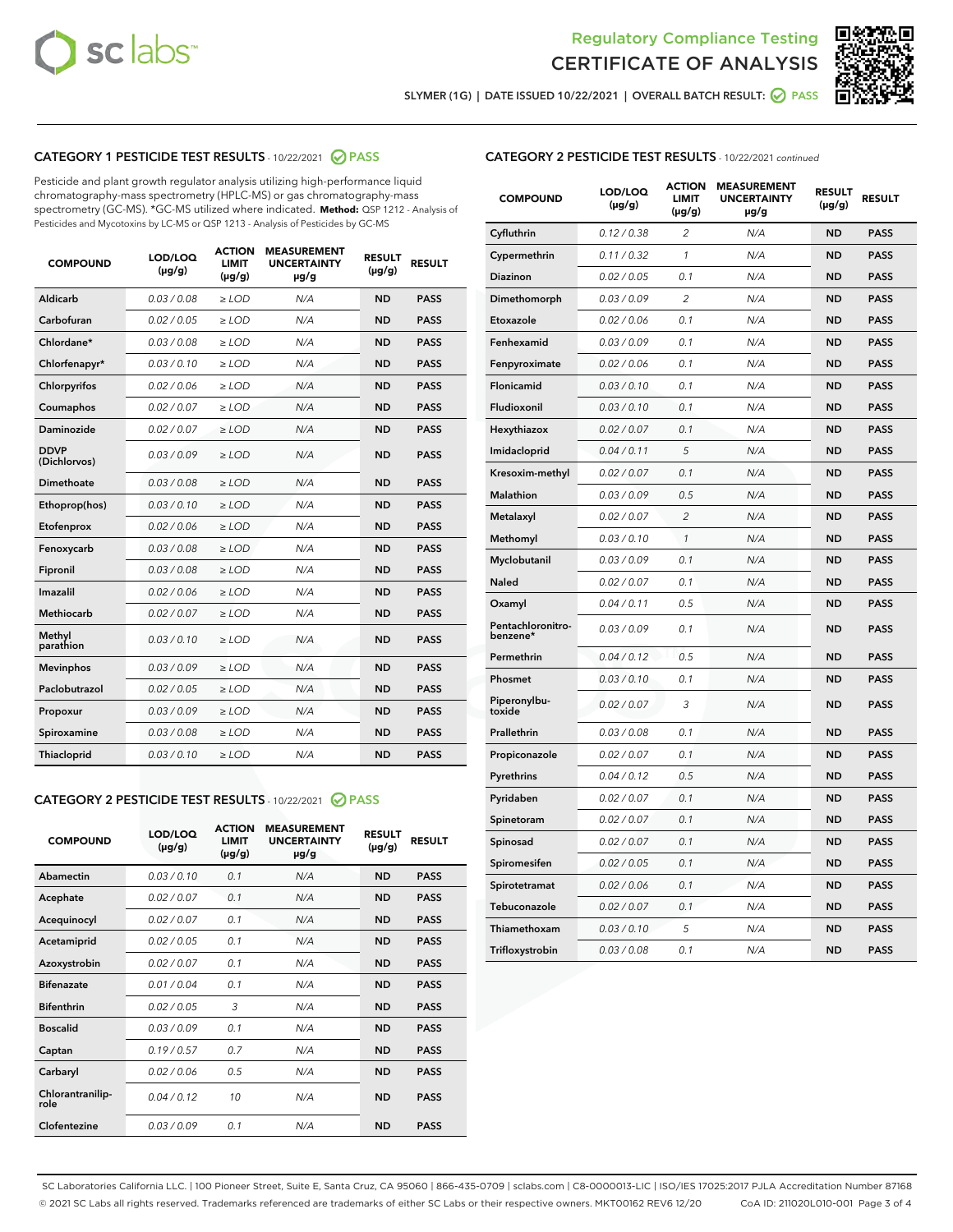



SLYMER (1G) | DATE ISSUED 10/22/2021 | OVERALL BATCH RESULT: 2 PASS

## CATEGORY 1 PESTICIDE TEST RESULTS - 10/22/2021 2 PASS

Pesticide and plant growth regulator analysis utilizing high-performance liquid chromatography-mass spectrometry (HPLC-MS) or gas chromatography-mass spectrometry (GC-MS). \*GC-MS utilized where indicated. **Method:** QSP 1212 - Analysis of Pesticides and Mycotoxins by LC-MS or QSP 1213 - Analysis of Pesticides by GC-MS

| 0.03 / 0.08<br><b>ND</b><br><b>PASS</b><br>Aldicarb<br>$\ge$ LOD<br>N/A<br>Carbofuran<br>0.02 / 0.05<br>$\ge$ LOD<br>N/A<br><b>ND</b><br><b>PASS</b><br>Chlordane*<br>0.03 / 0.08<br>$\ge$ LOD<br>N/A<br><b>ND</b><br><b>PASS</b><br>Chlorfenapyr*<br>0.03/0.10<br>$\ge$ LOD<br>N/A<br><b>ND</b><br><b>PASS</b><br>Chlorpyrifos<br>0.02 / 0.06<br>N/A<br><b>ND</b><br><b>PASS</b><br>$\ge$ LOD<br>Coumaphos<br>0.02 / 0.07<br>N/A<br><b>ND</b><br><b>PASS</b><br>$\ge$ LOD<br>Daminozide<br>0.02 / 0.07<br>N/A<br><b>ND</b><br><b>PASS</b><br>$\ge$ LOD<br><b>DDVP</b><br>0.03/0.09<br>$>$ LOD<br>N/A<br><b>ND</b><br><b>PASS</b><br>(Dichlorvos)<br>Dimethoate<br>0.03 / 0.08<br>$\ge$ LOD<br><b>ND</b><br><b>PASS</b><br>N/A<br>0.03/0.10<br>N/A<br><b>ND</b><br><b>PASS</b><br>Ethoprop(hos)<br>$>$ LOD<br>N/A<br><b>ND</b><br><b>PASS</b><br>Etofenprox<br>0.02 / 0.06<br>$\ge$ LOD<br>Fenoxycarb<br>0.03 / 0.08<br>$\ge$ LOD<br>N/A<br><b>ND</b><br><b>PASS</b><br>0.03/0.08<br>$\ge$ LOD<br>N/A<br><b>ND</b><br><b>PASS</b><br>Fipronil<br>Imazalil<br>0.02 / 0.06<br>$\geq$ LOD<br>N/A<br><b>ND</b><br><b>PASS</b><br>Methiocarb<br>0.02 / 0.07<br>$\ge$ LOD<br>N/A<br><b>ND</b><br><b>PASS</b><br>Methyl<br>0.03/0.10<br>N/A<br><b>ND</b><br><b>PASS</b><br>$\ge$ LOD<br>parathion<br>0.03/0.09<br><b>Mevinphos</b><br>$\ge$ LOD<br>N/A<br><b>ND</b><br><b>PASS</b><br>Paclobutrazol<br>0.02 / 0.05<br>$>$ LOD<br>N/A<br><b>ND</b><br><b>PASS</b><br>0.03 / 0.09<br>N/A<br>$\ge$ LOD<br><b>ND</b><br><b>PASS</b><br>Propoxur<br>0.03 / 0.08<br><b>ND</b><br><b>PASS</b><br>Spiroxamine<br>$\ge$ LOD<br>N/A<br>Thiacloprid<br>0.03/0.10<br>$\ge$ LOD<br>N/A<br><b>ND</b><br><b>PASS</b> | <b>COMPOUND</b> | LOD/LOQ<br>$(\mu g/g)$ | <b>ACTION</b><br><b>LIMIT</b><br>$(\mu g/g)$ | <b>MEASUREMENT</b><br><b>UNCERTAINTY</b><br>$\mu$ g/g | <b>RESULT</b><br>$(\mu g/g)$ | <b>RESULT</b> |
|------------------------------------------------------------------------------------------------------------------------------------------------------------------------------------------------------------------------------------------------------------------------------------------------------------------------------------------------------------------------------------------------------------------------------------------------------------------------------------------------------------------------------------------------------------------------------------------------------------------------------------------------------------------------------------------------------------------------------------------------------------------------------------------------------------------------------------------------------------------------------------------------------------------------------------------------------------------------------------------------------------------------------------------------------------------------------------------------------------------------------------------------------------------------------------------------------------------------------------------------------------------------------------------------------------------------------------------------------------------------------------------------------------------------------------------------------------------------------------------------------------------------------------------------------------------------------------------------------------------------------------------------------------------------------------------------|-----------------|------------------------|----------------------------------------------|-------------------------------------------------------|------------------------------|---------------|
|                                                                                                                                                                                                                                                                                                                                                                                                                                                                                                                                                                                                                                                                                                                                                                                                                                                                                                                                                                                                                                                                                                                                                                                                                                                                                                                                                                                                                                                                                                                                                                                                                                                                                                |                 |                        |                                              |                                                       |                              |               |
|                                                                                                                                                                                                                                                                                                                                                                                                                                                                                                                                                                                                                                                                                                                                                                                                                                                                                                                                                                                                                                                                                                                                                                                                                                                                                                                                                                                                                                                                                                                                                                                                                                                                                                |                 |                        |                                              |                                                       |                              |               |
|                                                                                                                                                                                                                                                                                                                                                                                                                                                                                                                                                                                                                                                                                                                                                                                                                                                                                                                                                                                                                                                                                                                                                                                                                                                                                                                                                                                                                                                                                                                                                                                                                                                                                                |                 |                        |                                              |                                                       |                              |               |
|                                                                                                                                                                                                                                                                                                                                                                                                                                                                                                                                                                                                                                                                                                                                                                                                                                                                                                                                                                                                                                                                                                                                                                                                                                                                                                                                                                                                                                                                                                                                                                                                                                                                                                |                 |                        |                                              |                                                       |                              |               |
|                                                                                                                                                                                                                                                                                                                                                                                                                                                                                                                                                                                                                                                                                                                                                                                                                                                                                                                                                                                                                                                                                                                                                                                                                                                                                                                                                                                                                                                                                                                                                                                                                                                                                                |                 |                        |                                              |                                                       |                              |               |
|                                                                                                                                                                                                                                                                                                                                                                                                                                                                                                                                                                                                                                                                                                                                                                                                                                                                                                                                                                                                                                                                                                                                                                                                                                                                                                                                                                                                                                                                                                                                                                                                                                                                                                |                 |                        |                                              |                                                       |                              |               |
|                                                                                                                                                                                                                                                                                                                                                                                                                                                                                                                                                                                                                                                                                                                                                                                                                                                                                                                                                                                                                                                                                                                                                                                                                                                                                                                                                                                                                                                                                                                                                                                                                                                                                                |                 |                        |                                              |                                                       |                              |               |
|                                                                                                                                                                                                                                                                                                                                                                                                                                                                                                                                                                                                                                                                                                                                                                                                                                                                                                                                                                                                                                                                                                                                                                                                                                                                                                                                                                                                                                                                                                                                                                                                                                                                                                |                 |                        |                                              |                                                       |                              |               |
|                                                                                                                                                                                                                                                                                                                                                                                                                                                                                                                                                                                                                                                                                                                                                                                                                                                                                                                                                                                                                                                                                                                                                                                                                                                                                                                                                                                                                                                                                                                                                                                                                                                                                                |                 |                        |                                              |                                                       |                              |               |
|                                                                                                                                                                                                                                                                                                                                                                                                                                                                                                                                                                                                                                                                                                                                                                                                                                                                                                                                                                                                                                                                                                                                                                                                                                                                                                                                                                                                                                                                                                                                                                                                                                                                                                |                 |                        |                                              |                                                       |                              |               |
|                                                                                                                                                                                                                                                                                                                                                                                                                                                                                                                                                                                                                                                                                                                                                                                                                                                                                                                                                                                                                                                                                                                                                                                                                                                                                                                                                                                                                                                                                                                                                                                                                                                                                                |                 |                        |                                              |                                                       |                              |               |
|                                                                                                                                                                                                                                                                                                                                                                                                                                                                                                                                                                                                                                                                                                                                                                                                                                                                                                                                                                                                                                                                                                                                                                                                                                                                                                                                                                                                                                                                                                                                                                                                                                                                                                |                 |                        |                                              |                                                       |                              |               |
|                                                                                                                                                                                                                                                                                                                                                                                                                                                                                                                                                                                                                                                                                                                                                                                                                                                                                                                                                                                                                                                                                                                                                                                                                                                                                                                                                                                                                                                                                                                                                                                                                                                                                                |                 |                        |                                              |                                                       |                              |               |
|                                                                                                                                                                                                                                                                                                                                                                                                                                                                                                                                                                                                                                                                                                                                                                                                                                                                                                                                                                                                                                                                                                                                                                                                                                                                                                                                                                                                                                                                                                                                                                                                                                                                                                |                 |                        |                                              |                                                       |                              |               |
|                                                                                                                                                                                                                                                                                                                                                                                                                                                                                                                                                                                                                                                                                                                                                                                                                                                                                                                                                                                                                                                                                                                                                                                                                                                                                                                                                                                                                                                                                                                                                                                                                                                                                                |                 |                        |                                              |                                                       |                              |               |
|                                                                                                                                                                                                                                                                                                                                                                                                                                                                                                                                                                                                                                                                                                                                                                                                                                                                                                                                                                                                                                                                                                                                                                                                                                                                                                                                                                                                                                                                                                                                                                                                                                                                                                |                 |                        |                                              |                                                       |                              |               |
|                                                                                                                                                                                                                                                                                                                                                                                                                                                                                                                                                                                                                                                                                                                                                                                                                                                                                                                                                                                                                                                                                                                                                                                                                                                                                                                                                                                                                                                                                                                                                                                                                                                                                                |                 |                        |                                              |                                                       |                              |               |
|                                                                                                                                                                                                                                                                                                                                                                                                                                                                                                                                                                                                                                                                                                                                                                                                                                                                                                                                                                                                                                                                                                                                                                                                                                                                                                                                                                                                                                                                                                                                                                                                                                                                                                |                 |                        |                                              |                                                       |                              |               |
|                                                                                                                                                                                                                                                                                                                                                                                                                                                                                                                                                                                                                                                                                                                                                                                                                                                                                                                                                                                                                                                                                                                                                                                                                                                                                                                                                                                                                                                                                                                                                                                                                                                                                                |                 |                        |                                              |                                                       |                              |               |
|                                                                                                                                                                                                                                                                                                                                                                                                                                                                                                                                                                                                                                                                                                                                                                                                                                                                                                                                                                                                                                                                                                                                                                                                                                                                                                                                                                                                                                                                                                                                                                                                                                                                                                |                 |                        |                                              |                                                       |                              |               |
|                                                                                                                                                                                                                                                                                                                                                                                                                                                                                                                                                                                                                                                                                                                                                                                                                                                                                                                                                                                                                                                                                                                                                                                                                                                                                                                                                                                                                                                                                                                                                                                                                                                                                                |                 |                        |                                              |                                                       |                              |               |

#### CATEGORY 2 PESTICIDE TEST RESULTS - 10/22/2021 @ PASS

| <b>COMPOUND</b>          | LOD/LOQ<br>$(\mu g/g)$ | <b>ACTION</b><br><b>LIMIT</b><br>$(\mu g/g)$ | <b>MEASUREMENT</b><br><b>UNCERTAINTY</b><br>$\mu$ g/g | <b>RESULT</b><br>$(\mu g/g)$ | <b>RESULT</b> |
|--------------------------|------------------------|----------------------------------------------|-------------------------------------------------------|------------------------------|---------------|
| Abamectin                | 0.03/0.10              | 0.1                                          | N/A                                                   | <b>ND</b>                    | <b>PASS</b>   |
| Acephate                 | 0.02/0.07              | 0.1                                          | N/A                                                   | <b>ND</b>                    | <b>PASS</b>   |
| Acequinocyl              | 0.02/0.07              | 0.1                                          | N/A                                                   | <b>ND</b>                    | <b>PASS</b>   |
| Acetamiprid              | 0.02/0.05              | 0.1                                          | N/A                                                   | <b>ND</b>                    | <b>PASS</b>   |
| Azoxystrobin             | 0.02/0.07              | 0.1                                          | N/A                                                   | <b>ND</b>                    | <b>PASS</b>   |
| <b>Bifenazate</b>        | 0.01/0.04              | 0.1                                          | N/A                                                   | <b>ND</b>                    | <b>PASS</b>   |
| <b>Bifenthrin</b>        | 0.02/0.05              | 3                                            | N/A                                                   | <b>ND</b>                    | <b>PASS</b>   |
| <b>Boscalid</b>          | 0.03/0.09              | 0.1                                          | N/A                                                   | <b>ND</b>                    | <b>PASS</b>   |
| Captan                   | 0.19/0.57              | 0.7                                          | N/A                                                   | <b>ND</b>                    | <b>PASS</b>   |
| Carbaryl                 | 0.02/0.06              | 0.5                                          | N/A                                                   | <b>ND</b>                    | <b>PASS</b>   |
| Chlorantranilip-<br>role | 0.04/0.12              | 10                                           | N/A                                                   | <b>ND</b>                    | <b>PASS</b>   |
| Clofentezine             | 0.03/0.09              | 0.1                                          | N/A                                                   | <b>ND</b>                    | <b>PASS</b>   |

#### CATEGORY 2 PESTICIDE TEST RESULTS - 10/22/2021 continued

| <b>COMPOUND</b>               | LOD/LOQ<br>(µg/g) | <b>ACTION</b><br>LIMIT<br>$(\mu g/g)$ | <b>MEASUREMENT</b><br><b>UNCERTAINTY</b><br>µg/g | <b>RESULT</b><br>(µg/g) | <b>RESULT</b> |
|-------------------------------|-------------------|---------------------------------------|--------------------------------------------------|-------------------------|---------------|
| Cyfluthrin                    | 0.12 / 0.38       | $\overline{c}$                        | N/A                                              | ND                      | <b>PASS</b>   |
| Cypermethrin                  | 0.11 / 0.32       | $\mathcal{I}$                         | N/A                                              | ND                      | <b>PASS</b>   |
| Diazinon                      | 0.02 / 0.05       | 0.1                                   | N/A                                              | ND                      | <b>PASS</b>   |
| Dimethomorph                  | 0.03 / 0.09       | 2                                     | N/A                                              | <b>ND</b>               | <b>PASS</b>   |
| Etoxazole                     | 0.02 / 0.06       | 0.1                                   | N/A                                              | ND                      | <b>PASS</b>   |
| Fenhexamid                    | 0.03 / 0.09       | 0.1                                   | N/A                                              | ND                      | <b>PASS</b>   |
| Fenpyroximate                 | 0.02 / 0.06       | 0.1                                   | N/A                                              | <b>ND</b>               | <b>PASS</b>   |
| Flonicamid                    | 0.03 / 0.10       | 0.1                                   | N/A                                              | ND                      | <b>PASS</b>   |
| Fludioxonil                   | 0.03 / 0.10       | 0.1                                   | N/A                                              | <b>ND</b>               | <b>PASS</b>   |
| Hexythiazox                   | 0.02 / 0.07       | 0.1                                   | N/A                                              | ND                      | <b>PASS</b>   |
| Imidacloprid                  | 0.04 / 0.11       | 5                                     | N/A                                              | ND                      | <b>PASS</b>   |
| Kresoxim-methyl               | 0.02 / 0.07       | 0.1                                   | N/A                                              | ND                      | <b>PASS</b>   |
| <b>Malathion</b>              | 0.03 / 0.09       | 0.5                                   | N/A                                              | <b>ND</b>               | <b>PASS</b>   |
| Metalaxyl                     | 0.02 / 0.07       | $\overline{c}$                        | N/A                                              | <b>ND</b>               | <b>PASS</b>   |
| Methomyl                      | 0.03 / 0.10       | 1                                     | N/A                                              | <b>ND</b>               | <b>PASS</b>   |
| Myclobutanil                  | 0.03 / 0.09       | 0.1                                   | N/A                                              | <b>ND</b>               | <b>PASS</b>   |
| Naled                         | 0.02 / 0.07       | 0.1                                   | N/A                                              | ND                      | <b>PASS</b>   |
| Oxamyl                        | 0.04 / 0.11       | 0.5                                   | N/A                                              | ND                      | <b>PASS</b>   |
| Pentachloronitro-<br>benzene* | 0.03 / 0.09       | 0.1                                   | N/A                                              | ND                      | <b>PASS</b>   |
| Permethrin                    | 0.04/0.12         | 0.5                                   | N/A                                              | <b>ND</b>               | <b>PASS</b>   |
| Phosmet                       | 0.03 / 0.10       | 0.1                                   | N/A                                              | ND                      | <b>PASS</b>   |
| Piperonylbu-<br>toxide        | 0.02 / 0.07       | 3                                     | N/A                                              | <b>ND</b>               | <b>PASS</b>   |
| Prallethrin                   | 0.03 / 0.08       | 0.1                                   | N/A                                              | <b>ND</b>               | <b>PASS</b>   |
| Propiconazole                 | 0.02 / 0.07       | 0.1                                   | N/A                                              | ND                      | <b>PASS</b>   |
| Pyrethrins                    | 0.04 / 0.12       | 0.5                                   | N/A                                              | ND                      | <b>PASS</b>   |
| Pyridaben                     | 0.02 / 0.07       | 0.1                                   | N/A                                              | <b>ND</b>               | <b>PASS</b>   |
| Spinetoram                    | 0.02 / 0.07       | 0.1                                   | N/A                                              | ND                      | <b>PASS</b>   |
| Spinosad                      | 0.02 / 0.07       | 0.1                                   | N/A                                              | ND                      | <b>PASS</b>   |
| Spiromesifen                  | 0.02 / 0.05       | 0.1                                   | N/A                                              | <b>ND</b>               | <b>PASS</b>   |
| Spirotetramat                 | 0.02 / 0.06       | 0.1                                   | N/A                                              | ND                      | <b>PASS</b>   |
| Tebuconazole                  | 0.02 / 0.07       | 0.1                                   | N/A                                              | ND                      | <b>PASS</b>   |
| Thiamethoxam                  | 0.03 / 0.10       | 5                                     | N/A                                              | <b>ND</b>               | <b>PASS</b>   |
| Trifloxystrobin               | 0.03 / 0.08       | 0.1                                   | N/A                                              | <b>ND</b>               | <b>PASS</b>   |

SC Laboratories California LLC. | 100 Pioneer Street, Suite E, Santa Cruz, CA 95060 | 866-435-0709 | sclabs.com | C8-0000013-LIC | ISO/IES 17025:2017 PJLA Accreditation Number 87168 © 2021 SC Labs all rights reserved. Trademarks referenced are trademarks of either SC Labs or their respective owners. MKT00162 REV6 12/20 CoA ID: 211020L010-001 Page 3 of 4